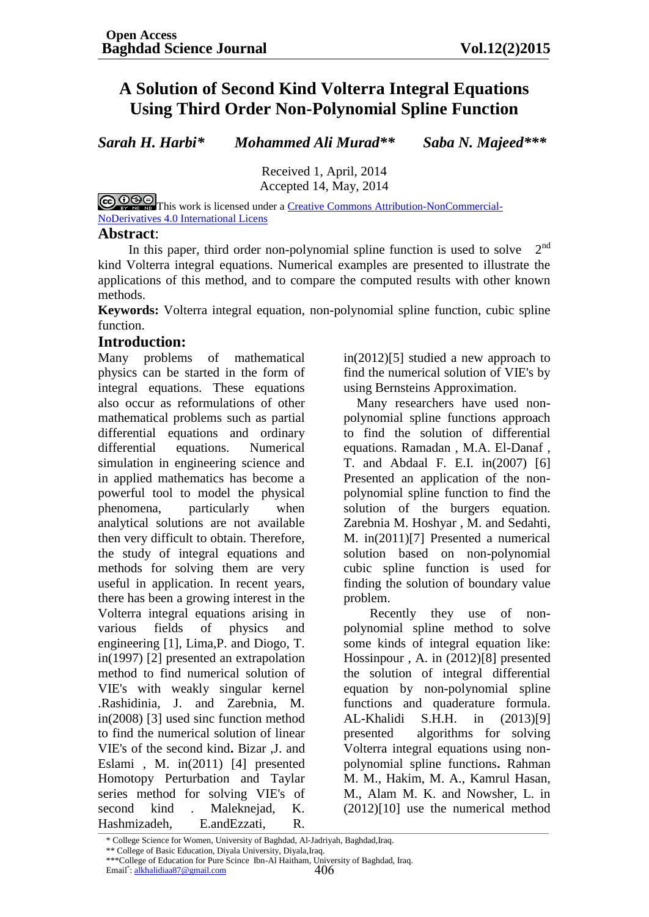# **A Solution of Second Kind Volterra Integral Equations Using Third Order Non-Polynomial Spline Function**

*Sarah H. Harbi\* Mohammed Ali Murad\*\* Saba N. Majeed\*\*\**

Received 1, April, 2014 Accepted 14, May, 2014

COOSO This work is licensed under a [Creative Commons Attribution-NonCommercial-](http://creativecommons.org/licenses/by-nc-nd/4.0/)[NoDerivatives 4.0 International Licens](http://creativecommons.org/licenses/by-nc-nd/4.0/)

#### **Abstract**:

In this paper, third order non-polynomial spline function is used to solve  $2<sup>nd</sup>$ kind Volterra integral equations. Numerical examples are presented to illustrate the applications of this method, and to compare the computed results with other known methods.

**Keywords:** Volterra integral equation, non-polynomial spline function, cubic spline function.

#### **Introduction:**

Many problems of mathematical physics can be started in the form of integral equations. These equations also occur as reformulations of other mathematical problems such as partial differential equations and ordinary differential equations. Numerical simulation in engineering science and in applied mathematics has become a powerful tool to model the physical phenomena, particularly when analytical solutions are not available then very difficult to obtain. Therefore, the study of integral equations and methods for solving them are very useful in application. In recent years, there has been a growing interest in the Volterra integral equations arising in various fields of physics and engineering [1], Lima,P. and Diogo, T. in(1997) [2] presented an extrapolation method to find numerical solution of VIE's with weakly singular kernel .Rashidinia, J. and Zarebnia, M. in(2008) [3] used sinc function method to find the numerical solution of linear VIE's of the second kind**.** Bizar ,J. and Eslami , M. in(2011) [4] presented Homotopy Perturbation and Taylar series method for solving VIE's of second kind . Maleknejad, K. Hashmizadeh, E.andEzzati, R.

in(2012)[5] studied a new approach to find the numerical solution of VIE's by using Bernsteins Approximation.

 Many researchers have used nonpolynomial spline functions approach to find the solution of differential equations. Ramadan , M.A. El-Danaf , T. and Abdaal F. E.I. in(2007) [6] Presented an application of the nonpolynomial spline function to find the solution of the burgers equation. Zarebnia M. Hoshyar , M. and Sedahti, M. in(2011)[7] Presented a numerical solution based on non-polynomial cubic spline function is used for finding the solution of boundary value problem.

 Recently they use of nonpolynomial spline method to solve some kinds of integral equation like: Hossinpour , A. in (2012)[8] presented the solution of integral differential equation by non-polynomial spline functions and quaderature formula. AL-Khalidi S.H.H. in (2013)[9] presented algorithms for solving Volterra integral equations using nonpolynomial spline functions**.** Rahman M. M., Hakim, M. A., Kamrul Hasan, M., Alam M. K. and Nowsher, L. in (2012)[10] use the numerical method

<sup>\*</sup> College Science for Women, University of Baghdad, Al-Jadriyah, Baghdad,Iraq.

<sup>\*\*</sup> College of Basic Education, Diyala University, Diyala,Iraq.

<sup>406</sup> \*\*\*College of Education for Pure Scince Ibn-Al Haitham, University of Baghdad, Iraq. Email<sup>\*</sup>[: alkhalidiaa87@gmail.com](mailto:alkhalidiaa87@gmail.com)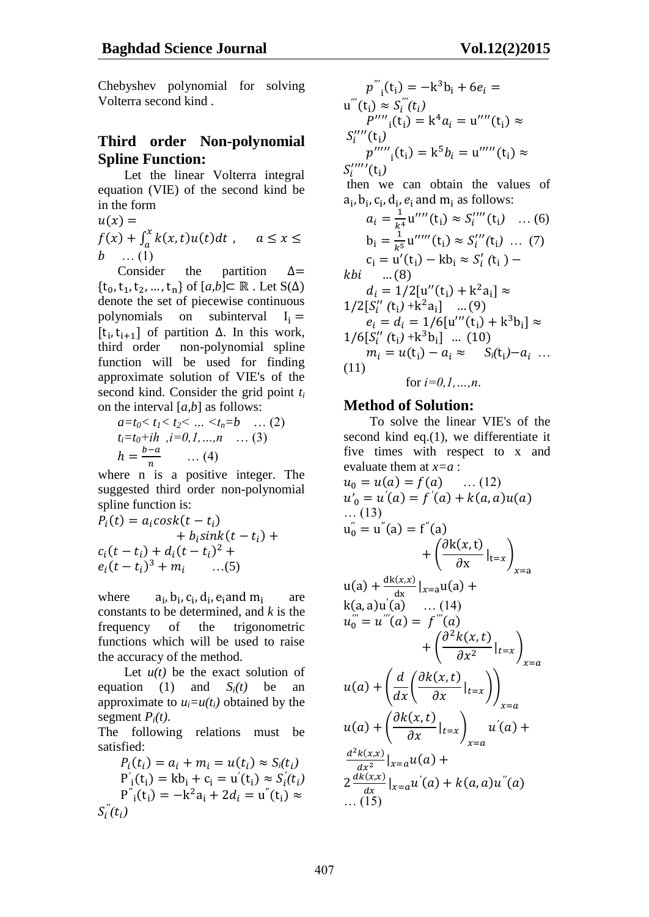Chebyshev polynomial for solving Volterra second kind .

# **Third order Non-polynomial Spline Function:**

 Let the linear Volterra integral equation (VIE) of the second kind be in the form

 $u(x) =$  $f(x) + \int_a^x k(x,t)u(t)dt$ ,  $b$  ... (1)

 Consider the partition  $\Delta =$  $\{t_0, t_1, t_2, ..., t_n\}$  of  $[a,b] \subset \mathbb{R}$ . Let  $S(\Delta)$ denote the set of piecewise continuous polynomials on subinterval  $I_i =$ [ $t_i, t_{i+1}$ ] of partition  $\Delta$ . In this work, third order non-polynomial spline function will be used for finding approximate solution of VIE's of the second kind. Consider the grid point *t<sup>i</sup>* on the interval [*a,b*] as follows:

$$
a=t_0 < t_1 < t_2 < ... < t_n = b \quad ... (2)
$$
  
\n
$$
t_i=t_0+ih \quad i=0,1,...,n \quad ... (3)
$$
  
\n
$$
h = \frac{b-a}{n} \quad ... (4)
$$

where n is a positive integer. The suggested third order non-polynomial spline function is:

$$
P_i(t) = a_i \cosh(t - t_i) + b_i \sinh(t - t_i) + c_i (t - t_i) + d_i (t - t_i)^2 +
$$
  

$$
e_i (t - t_i)^3 + m_i \qquad ...(5)
$$

where ,  $b_i$ ,  $c_i$ ,  $d_i$ ,  $e_i$  and  $m_i$  are constants to be determined, and *k* is the frequency of the trigonometric functions which will be used to raise the accuracy of the method.

Let  $u(t)$  be the exact solution of equation (1) and  $S_i(t)$  be an approximate to  $u_i = u(t_i)$  obtained by the segment  $P_i(t)$ .

The following relations must be satisfied:

$$
P_i(t_i) = a_i + m_i = u(t_i) \approx S_i(t_i)
$$
  
\n
$$
P'_i(t_i) = kb_i + c_i = u'(t_i) \approx S'_i(t_i)
$$
  
\n
$$
P''_i(t_i) = -k^2 a_i + 2d_i = u''(t_i) \approx
$$
  
\n
$$
S''_i(t_i)
$$

$$
p'''_{i}(t_{i}) = -k^{3}b_{i} + 6e_{i} =
$$
  
\n
$$
u'''(t_{i}) \approx S_{i}'''(t_{i})
$$
  
\n
$$
P''''_{i}(t_{i}) = k^{4}a_{i} = u''''(t_{i}) \approx
$$
  
\n
$$
S_{i}'''''(t_{i})
$$
  
\n
$$
p'''''_{i}(t_{i}) = k^{5}b_{i} = u''''(t_{i}) \approx
$$
  
\n
$$
S_{i}'''''(t_{i})
$$
  
\nthen we can obtain the values of  
\n
$$
a_{i}, b_{i}, c_{i}, d_{i}, e_{i}
$$
 and  $m_{i}$  as follows:  
\n
$$
a_{i} = \frac{1}{k^{4}} u''''(t_{i}) \approx S_{i}''''(t_{i}) \dots (6)
$$
  
\n
$$
b_{i} = \frac{1}{k^{5}} u''''(t_{i}) \approx S_{i}''(t_{i}) \dots (7)
$$
  
\n
$$
c_{i} = u'(t_{i}) - kb_{i} \approx S_{i}'(t_{i}) -
$$
  
\n
$$
kbi \qquad ... (8)
$$
  
\n
$$
d_{i} = 1/2[u''(t_{i}) + k^{2}a_{i}] \approx
$$
  
\n
$$
1/2[S_{i}''(t_{i}) + k^{2}a_{i}] \dots (9)
$$
  
\n
$$
e_{i} = d_{i} - 1/6[u'''(t_{i}) + k^{3}b_{i}] \approx
$$

$$
e_i = d_i = 1/6[u'''(t_i) + k^3b_i] \approx 1/6[S_i''(t_i) + k^3b_i] \dots (10)
$$
  
\n
$$
m_i = u(t_i) - a_i \approx S_i(t_i) - a_i \dots
$$
  
\n(11)

for *i=0,1,…,n*.

### **Method of Solution:**

 To solve the linear VIE's of the second kind eq.(1), we differentiate it five times with respect to x and evaluate them at *x=a* :

$$
u_0 = u(a) = f(a) \qquad \dots (12)
$$
  
\n
$$
u'_0 = u'(a) = f'(a) + k(a, a)u(a)
$$
  
\n
$$
\dots (13)
$$
  
\n
$$
u''_0 = u''(a) = f''(a)
$$
  
\n
$$
+ \left(\frac{\partial k(x, t)}{\partial x}\Big|_{t=x}\right)_{x=a}
$$
  
\n
$$
u(a) + \frac{dk(x, x)}{dx}|_{x=a}u(a) +
$$
  
\n
$$
k(a, a)u'(a) \qquad \dots (14)
$$
  
\n
$$
u''_0 = u'''(a) = f'''(a)
$$
  
\n
$$
+ \left(\frac{\partial^2 k(x, t)}{\partial x^2}\Big|_{t=x}\right)_{x=a}
$$
  
\n
$$
u(a) + \left(\frac{d}{dx}\left(\frac{\partial k(x, t)}{\partial x}\Big|_{t=x}\right)_{x=a}
$$
  
\n
$$
u(a) + \left(\frac{\partial k(x, t)}{\partial x}\Big|_{t=x}\right)_{x=a} u'(a) +
$$
  
\n
$$
\frac{d^2 k(x, x)}{dx^2}|_{x=a} u(a) +
$$
  
\n
$$
2 \frac{dk(x, x)}{dx}|_{x=a} u'(a) + k(a, a)u''(a)
$$
  
\n
$$
\dots (15)
$$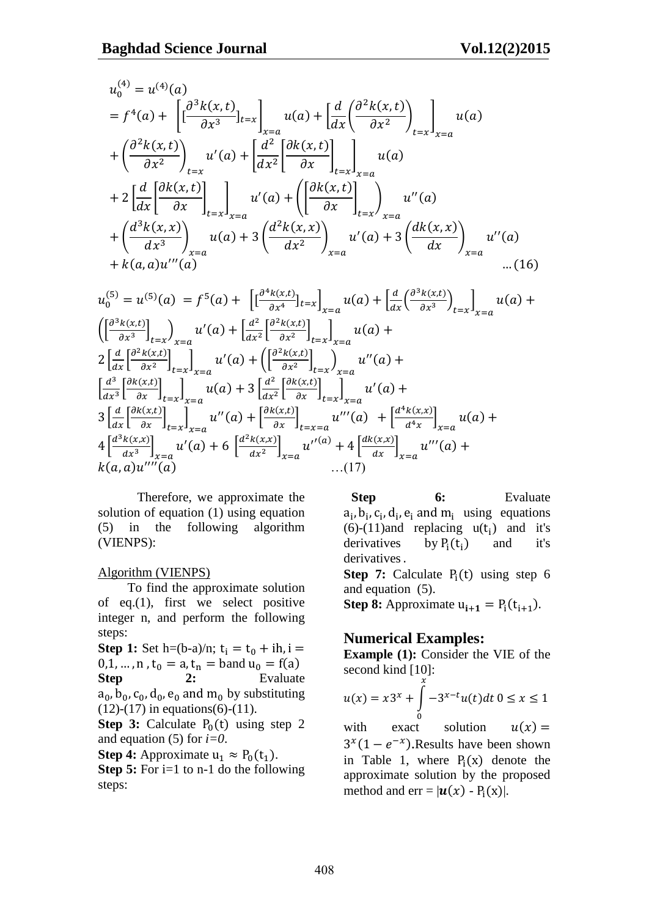$$
u_0^{(4)} = u^{(4)}(a)
$$
  
=  $f^4(a) + \left[ \left[ \frac{\partial^3 k(x,t)}{\partial x^3} \right]_{t=x} \right]_{x=a} u(a) + \left[ \frac{d}{dx} \left( \frac{\partial^2 k(x,t)}{\partial x^2} \right)_{t=x} \right]_{x=a} u(a)$   
+  $\left( \frac{\partial^2 k(x,t)}{\partial x^2} \right)_{t=x} u'(a) + \left[ \frac{d^2}{dx^2} \left[ \frac{\partial k(x,t)}{\partial x} \right]_{t=x} \right]_{x=a} u(a)$   
+  $2 \left[ \frac{d}{dx} \left[ \frac{\partial k(x,t)}{\partial x} \right]_{t=x} \right]_{x=a} u'(a) + \left( \left[ \frac{\partial k(x,t)}{\partial x} \right]_{t=x} \right)_{x=a} u''(a)$   
+  $\left( \frac{d^3 k(x,x)}{dx^3} \right)_{x=a} u(a) + 3 \left( \frac{d^2 k(x,x)}{dx^2} \right)_{x=a} u'(a) + 3 \left( \frac{dk(x,x)}{dx} \right)_{x=a} u''(a)$   
+  $k(a,a)u'''(a)$ ...(16)

$$
u_0^{(5)} = u^{(5)}(a) = f^5(a) + \left[ \left[ \frac{\partial^4 k(x,t)}{\partial x^4} \right]_{t=x} \right]_{x=a} u(a) + \left[ \frac{d}{dx} \left( \frac{\partial^3 k(x,t)}{\partial x^3} \right)_{t=x} \right]_{x=a} u(a) +
$$
  

$$
\left( \left[ \frac{\partial^3 k(x,t)}{\partial x^3} \right]_{t=x} \right)_{x=a} u'(a) + \left[ \frac{d^2}{dx^2} \left[ \frac{\partial^2 k(x,t)}{\partial x^2} \right]_{t=x} \right]_{x=a} u(a) +
$$
  

$$
2 \left[ \frac{d}{dx} \left[ \frac{\partial^2 k(x,t)}{\partial x^2} \right]_{t=x} \right]_{x=a} u'(a) + \left( \left[ \frac{\partial^2 k(x,t)}{\partial x^2} \right]_{t=x} \right)_{x=a} u''(a) +
$$
  

$$
\left[ \frac{d^3}{dx^3} \left[ \frac{\partial k(x,t)}{\partial x} \right]_{t=x} \right]_{x=a} u(a) + 3 \left[ \frac{d^2}{dx^2} \left[ \frac{\partial k(x,t)}{\partial x} \right]_{t=x} \right]_{x=a} u'(a) +
$$
  

$$
3 \left[ \frac{d}{dx} \left[ \frac{\partial k(x,t)}{\partial x} \right]_{t=x} \right]_{x=a} u''(a) + \left[ \frac{\partial k(x,t)}{\partial x} \right]_{t=x=a} u'''(a) + \left[ \frac{d^4 k(x,x)}{d^4 x} \right]_{x=a} u(a) +
$$
  

$$
4 \left[ \frac{d^3 k(x,x)}{dx^3} \right]_{x=a} u'(a) + 6 \left[ \frac{d^2 k(x,x)}{dx^2} \right]_{x=a} u''(a) + 4 \left[ \frac{d k(x,x)}{dx} \right]_{x=a} u'''(a) +
$$
  

$$
k(a,a) u'''(a) \qquad \qquad \dots (17)
$$

Therefore, we approximate the solution of equation (1) using equation (5) in the following algorithm (VIENPS):

#### Algorithm (VIENPS)

 To find the approximate solution of eq.(1), first we select positive integer n, and perform the following steps:

**Step 1:** Set h=(b-a)/n;  $t_i = t_0 + ih$ , i =  $0,1, ..., n$ ,  $t_0 = a$ ,  $t_n =$ band  $u_0 = f(a)$ **Step 2:** Evaluate  $a_0$ ,  $b_0$ ,  $c_0$ ,  $d_0$ ,  $e_0$  and  $m_0$  by substituting  $(12)-(17)$  in equations(6)-(11).

**Step 3:** Calculate  $P_0(t)$  using step 2 and equation (5) for *i=0*.

**Step 4:** Approximate  $u_1 \approx P_0(t_1)$ .

**Step 5:** For i=1 to n-1 do the following steps:

Step 6: Evaluate  $a_i$ ,  $b_i$ ,  $c_i$ ,  $d_i$ ,  $e_i$  and  $m_i$  using equations  $(6)-(11)$ and replacing  $u(t_i)$  and it's derivatives by  $P_i(t_i)$  and it's derivatives.

**Step 7:** Calculate  $P_i(t)$  using step 6 and equation (5).

**Step 8:** Approximate  $u_{i+1} = P_i(t_{i+1})$ .

### **Numerical Examples:**

**Example (1):** Consider the VIE of the second kind  $[10]:$ 

$$
u(x) = x3^{x} + \int_{0}^{x} -3^{x-t}u(t)dt \ 0 \le x \le 1
$$

with exact solution  $u(x) =$  $3^{x}(1-e^{-x})$ . Results have been shown in Table 1, where  $P_i(x)$  denote the approximate solution by the proposed method and  $err = |\boldsymbol{u}(x) - P_i(x)|$ .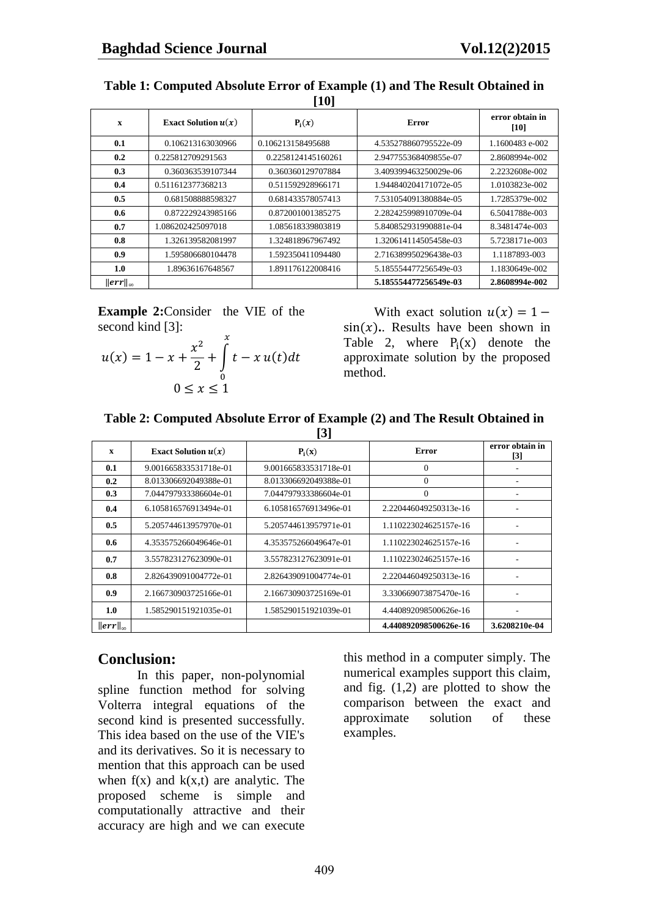| $\mathbf x$        | Exact Solution $u(x)$ | $P_i(x)$           | Error                 | error obtain in<br>[10] |
|--------------------|-----------------------|--------------------|-----------------------|-------------------------|
| 0.1                | 0.106213163030966     | 0.106213158495688  | 4.535278860795522e-09 | 1.1600483 e-002         |
| 0.2                | 0.225812709291563     | 0.2258124145160261 | 2.947755368409855e-07 | 2.8608994e-002          |
| 0.3                | 0.360363539107344     | 0.360360129707884  | 3.409399463250029e-06 | 2.2232608e-002          |
| 0.4                | 0.511612377368213     | 0.511592928966171  | 1.944840204171072e-05 | 1.0103823e-002          |
| 0.5                | 0.681508888598327     | 0.681433578057413  | 7.531054091380884e-05 | 1.7285379e-002          |
| 0.6                | 0.872229243985166     | 0.872001001385275  | 2.282425998910709e-04 | 6.5041788e-003          |
| 0.7                | 1.086202425097018     | 1.085618339803819  | 5.840852931990881e-04 | 8.3481474e-003          |
| 0.8                | 1.326139582081997     | 1.324818967967492  | 1.320614114505458e-03 | 5.7238171e-003          |
| 0.9                | 1.595806680104478     | 1.592350411094480  | 2.716389950296438e-03 | 1.1187893-003           |
| 1.0                | 1.89636167648567      | 1.891176122008416  | 5.185554477256549e-03 | 1.1830649e-002          |
| $\ err\ _{\infty}$ |                       |                    | 5.185554477256549e-03 | 2.8608994e-002          |

**Table 1: Computed Absolute Error of Example (1) and The Result Obtained in [10]**

**Example 2:**Consider the VIE of the second kind [3]:

$$
u(x) = 1 - x + \frac{x^2}{2} + \int_{0}^{x} t - x u(t) dt
$$
  
0 \le x \le 1

With exact solution  $u(x) = 1$  $sin(x)$ . Results have been shown in Table 2, where  $P_i(x)$  denote the approximate solution by the proposed method.

#### **Table 2: Computed Absolute Error of Example (2) and The Result Obtained in [3]**

| ιIJ                |                       |                       |                       |                                      |  |  |
|--------------------|-----------------------|-----------------------|-----------------------|--------------------------------------|--|--|
| $\mathbf{x}$       | Exact Solution $u(x)$ | $P_i(x)$              | Error                 | error obtain in<br>$\lceil 3 \rceil$ |  |  |
| 0.1                | 9.001665833531718e-01 | 9.001665833531718e-01 | $\Omega$              |                                      |  |  |
| 0.2                | 8.013306692049388e-01 | 8.013306692049388e-01 | $\Omega$              |                                      |  |  |
| 0.3                | 7.044797933386604e-01 | 7.044797933386604e-01 | $\theta$              |                                      |  |  |
| 0.4                | 6.105816576913494e-01 | 6.105816576913496e-01 | 2.220446049250313e-16 |                                      |  |  |
| 0.5                | 5.205744613957970e-01 | 5.205744613957971e-01 | 1.110223024625157e-16 |                                      |  |  |
| 0.6                | 4.353575266049646e-01 | 4.353575266049647e-01 | 1.110223024625157e-16 |                                      |  |  |
| 0.7                | 3.557823127623090e-01 | 3.557823127623091e-01 | 1.110223024625157e-16 |                                      |  |  |
| 0.8                | 2.826439091004772e-01 | 2.826439091004774e-01 | 2.220446049250313e-16 |                                      |  |  |
| 0.9                | 2.166730903725166e-01 | 2.166730903725169e-01 | 3.330669073875470e-16 |                                      |  |  |
| 1.0                | 1.585290151921035e-01 | 1.585290151921039e-01 | 4.440892098500626e-16 |                                      |  |  |
| $\ err\ _{\infty}$ |                       |                       | 4.440892098500626e-16 | 3.6208210e-04                        |  |  |

# **Conclusion:**

In this paper, non-polynomial spline function method for solving Volterra integral equations of the second kind is presented successfully. This idea based on the use of the VIE's and its derivatives. So it is necessary to mention that this approach can be used when  $f(x)$  and  $k(x,t)$  are analytic. The proposed scheme is simple and computationally attractive and their accuracy are high and we can execute

this method in a computer simply. The numerical examples support this claim, and fig. (1,2) are plotted to show the comparison between the exact and approximate solution of these examples.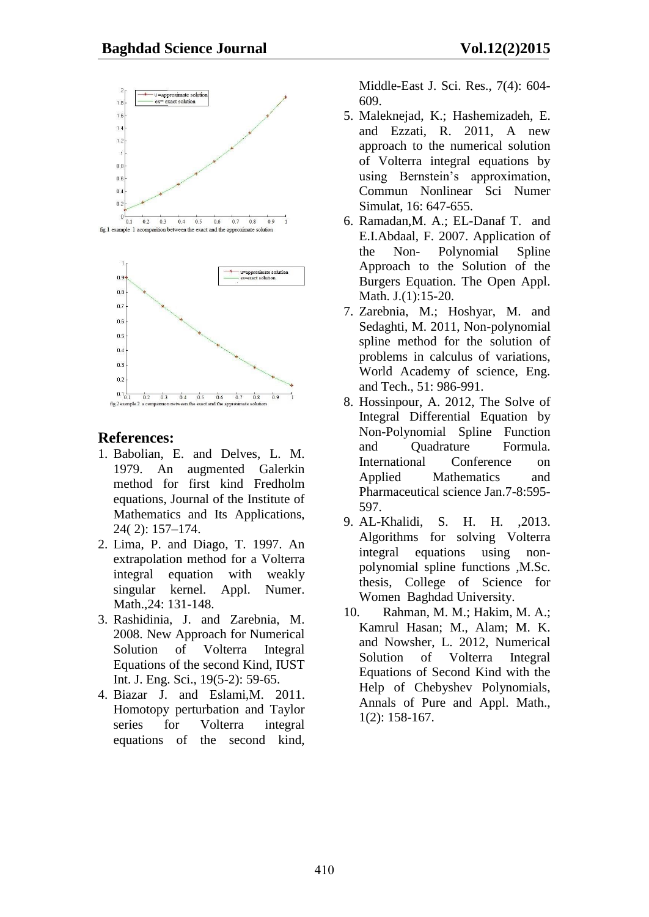

# **References:**

- 1. Babolian, E. and Delves, L. M. 1979. An augmented Galerkin method for first kind Fredholm equations, Journal of the Institute of Mathematics and Its Applications, 24( 2): 157–174.
- 2. Lima, P. and Diago, T. 1997. An extrapolation method for a Volterra integral equation with weakly singular kernel. Appl. Numer. Math., 24: 131-148.
- 3. Rashidinia, J. and Zarebnia, M. 2008. New Approach for Numerical Solution of Volterra Integral Equations of the second Kind, IUST Int. J. Eng. Sci., 19(5-2): 59-65.
- 4. Biazar J. and Eslami,M. 2011. Homotopy perturbation and Taylor series for Volterra integral equations of the second kind,

Middle-East J. Sci. Res., 7(4): 604- 609.

- 5. Maleknejad, K.; Hashemizadeh, E. and Ezzati, R. 2011, A new approach to the numerical solution of Volterra integral equations by using Bernstein's approximation, Commun Nonlinear Sci Numer Simulat, 16: 647-655.
- 6. Ramadan,M. A.; EL-Danaf T. and E.I.Abdaal, F. 2007. Application of the Non- Polynomial Spline Approach to the Solution of the Burgers Equation. The Open Appl. Math. J.(1):15-20.
- 7. Zarebnia, M.; Hoshyar, M. and Sedaghti, M. 2011, Non-polynomial spline method for the solution of problems in calculus of variations, World Academy of science, Eng. and Tech., 51: 986-991.
- 8. Hossinpour, A. 2012, The Solve of Integral Differential Equation by Non-Polynomial Spline Function and Quadrature Formula. International Conference on Applied Mathematics and Pharmaceutical science Jan.7-8:595- 597.
- 9. AL-Khalidi, S. H. H. ,2013. Algorithms for solving Volterra integral equations using nonpolynomial spline functions ,M.Sc. thesis, College of Science for Women Baghdad University.
- 10. Rahman, M. M.; Hakim, M. A.; Kamrul Hasan; M., Alam; M. K. and Nowsher, L. 2012, Numerical Solution of Volterra Integral Equations of Second Kind with the Help of Chebyshev Polynomials, Annals of Pure and Appl. Math., 1(2): 158-167.